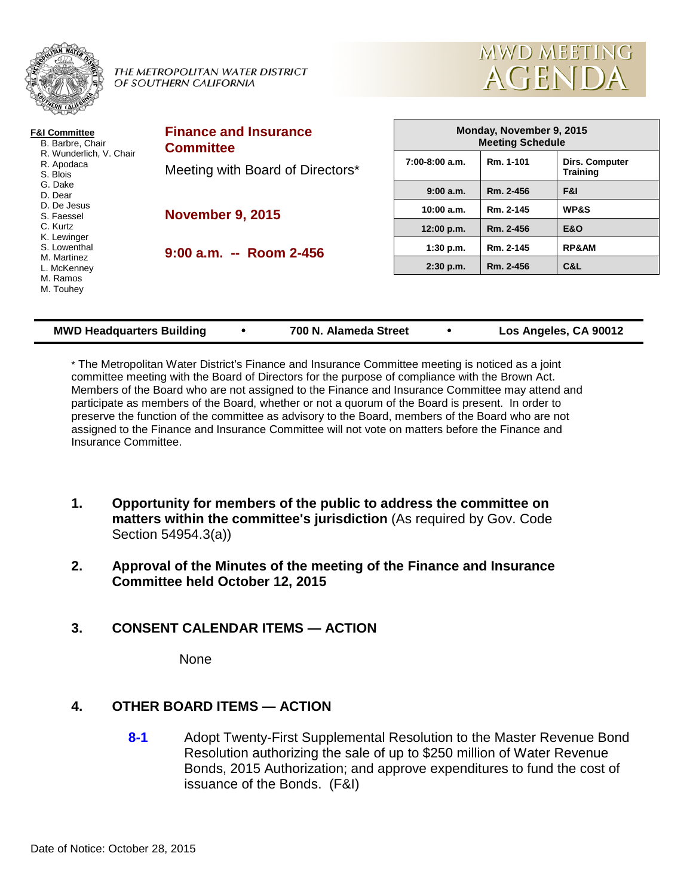

THE METROPOLITAN WATER DISTRICT OF SOUTHERN CALIFORNIA



| F&I Committee<br>B. Barbre, Chair<br>R. Wunderlich, V. Chair<br>R. Apodaca<br>S. Blois<br>G. Dake<br>D. Dear<br>D. De Jesus<br>S. Faessel<br>C. Kurtz<br>K. Lewinger<br>S. Lowenthal<br>M. Martinez<br>L. McKenney<br>M. Ramos<br>M. Touhey | <b>Finance and Insurance</b><br><b>Committee</b><br>Meeting with Board of Directors*<br><b>November 9, 2015</b><br>$9:00$ a.m. -- Room 2-456 | Monday, November 9, 2015<br><b>Meeting Schedule</b> |           |                                   |  |
|---------------------------------------------------------------------------------------------------------------------------------------------------------------------------------------------------------------------------------------------|----------------------------------------------------------------------------------------------------------------------------------------------|-----------------------------------------------------|-----------|-----------------------------------|--|
|                                                                                                                                                                                                                                             |                                                                                                                                              | $7:00-8:00$ a.m.                                    | Rm. 1-101 | <b>Dirs. Computer</b><br>Training |  |
|                                                                                                                                                                                                                                             |                                                                                                                                              | 9:00 a.m.                                           | Rm. 2-456 | F&I                               |  |
|                                                                                                                                                                                                                                             |                                                                                                                                              | 10:00 a.m.                                          | Rm. 2-145 | <b>WP&amp;S</b>                   |  |
|                                                                                                                                                                                                                                             |                                                                                                                                              | 12:00 p.m.                                          | Rm. 2-456 | <b>E&amp;O</b>                    |  |
|                                                                                                                                                                                                                                             |                                                                                                                                              | $1:30$ p.m.                                         | Rm. 2-145 | <b>RP&amp;AM</b>                  |  |
|                                                                                                                                                                                                                                             |                                                                                                                                              | $2:30$ p.m.                                         | Rm. 2-456 | C&L                               |  |
|                                                                                                                                                                                                                                             |                                                                                                                                              |                                                     |           |                                   |  |

| <b>MWD Headquarters Building</b> | 700 N. Alameda Street | Los Angeles, CA 90012 |
|----------------------------------|-----------------------|-----------------------|
|                                  |                       |                       |

\* The Metropolitan Water District's Finance and Insurance Committee meeting is noticed as a joint committee meeting with the Board of Directors for the purpose of compliance with the Brown Act. Members of the Board who are not assigned to the Finance and Insurance Committee may attend and participate as members of the Board, whether or not a quorum of the Board is present. In order to preserve the function of the committee as advisory to the Board, members of the Board who are not assigned to the Finance and Insurance Committee will not vote on matters before the Finance and Insurance Committee.

- **1. Opportunity for members of the public to address the committee on matters within the committee's jurisdiction** (As required by Gov. Code Section 54954.3(a))
- **2. Approval of the Minutes of the meeting of the Finance and Insurance Committee held October 12, 2015**

# **3. CONSENT CALENDAR ITEMS — ACTION**

None

# **4. OTHER BOARD ITEMS — ACTION**

**8-1** Adopt Twenty-First Supplemental Resolution to the Master Revenue Bond Resolution authorizing the sale of up to \$250 million of Water Revenue Bonds, 2015 Authorization; and approve expenditures to fund the cost of issuance of the Bonds. (F&I)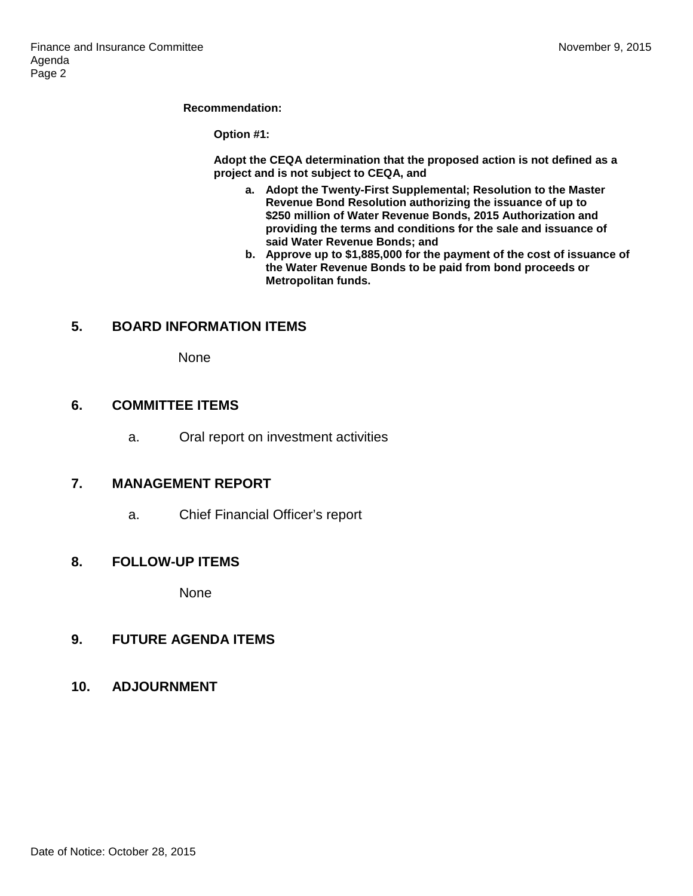#### **Recommendation:**

**Option #1:**

**Adopt the CEQA determination that the proposed action is not defined as a project and is not subject to CEQA, and**

- **a. Adopt the Twenty-First Supplemental; Resolution to the Master Revenue Bond Resolution authorizing the issuance of up to \$250 million of Water Revenue Bonds, 2015 Authorization and providing the terms and conditions for the sale and issuance of said Water Revenue Bonds; and**
- **b. Approve up to \$1,885,000 for the payment of the cost of issuance of the Water Revenue Bonds to be paid from bond proceeds or Metropolitan funds.**

# **5. BOARD INFORMATION ITEMS**

None

# **6. COMMITTEE ITEMS**

a. Oral report on investment activities

# **7. MANAGEMENT REPORT**

a. Chief Financial Officer's report

# **8. FOLLOW-UP ITEMS**

None

# **9. FUTURE AGENDA ITEMS**

**10. ADJOURNMENT**